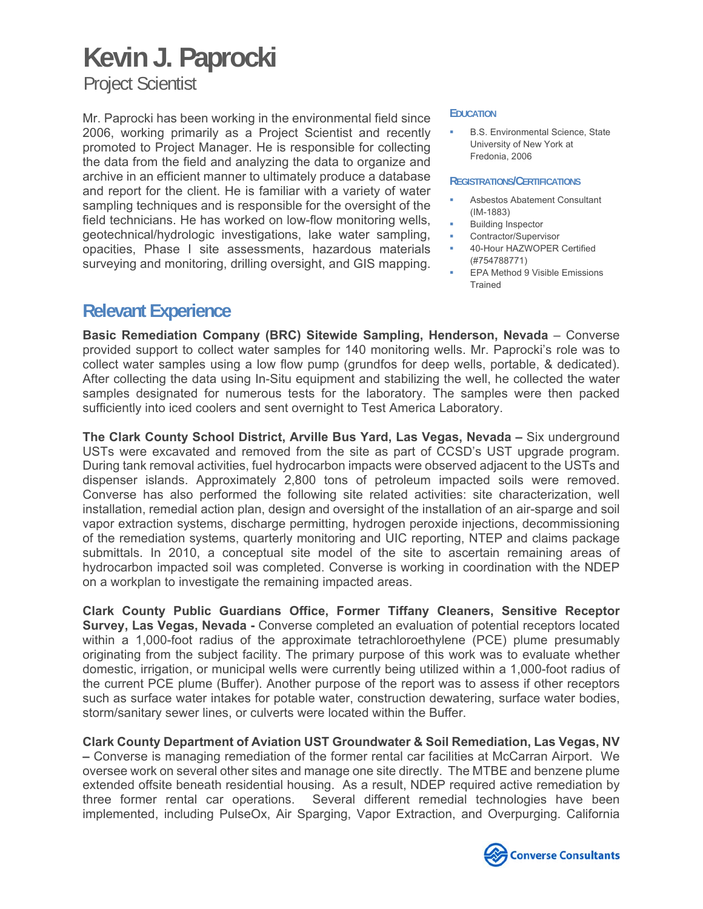Project Scientist

Mr. Paprocki has been working in the environmental field since 2006, working primarily as a Project Scientist and recently promoted to Project Manager. He is responsible for collecting the data from the field and analyzing the data to organize and archive in an efficient manner to ultimately produce a database and report for the client. He is familiar with a variety of water sampling techniques and is responsible for the oversight of the field technicians. He has worked on low-flow monitoring wells, geotechnical/hydrologic investigations, lake water sampling, opacities, Phase I site assessments, hazardous materials surveying and monitoring, drilling oversight, and GIS mapping.

#### **EDUCATION**

 B.S. Environmental Science, State University of New York at Fredonia, 2006

### **REGISTRATIONS/CERTIFICATIONS**

- Asbestos Abatement Consultant (IM-1883)
- Building Inspector
- Contractor/Supervisor
- 40-Hour HAZWOPER Certified (#754788771)
- EPA Method 9 Visible Emissions **Trained**

### **Relevant Experience**

**Basic Remediation Company (BRC) Sitewide Sampling, Henderson, Nevada** – Converse provided support to collect water samples for 140 monitoring wells. Mr. Paprocki's role was to collect water samples using a low flow pump (grundfos for deep wells, portable, & dedicated). After collecting the data using In-Situ equipment and stabilizing the well, he collected the water samples designated for numerous tests for the laboratory. The samples were then packed sufficiently into iced coolers and sent overnight to Test America Laboratory.

**The Clark County School District, Arville Bus Yard, Las Vegas, Nevada –** Six underground USTs were excavated and removed from the site as part of CCSD's UST upgrade program. During tank removal activities, fuel hydrocarbon impacts were observed adjacent to the USTs and dispenser islands. Approximately 2,800 tons of petroleum impacted soils were removed. Converse has also performed the following site related activities: site characterization, well installation, remedial action plan, design and oversight of the installation of an air-sparge and soil vapor extraction systems, discharge permitting, hydrogen peroxide injections, decommissioning of the remediation systems, quarterly monitoring and UIC reporting, NTEP and claims package submittals. In 2010, a conceptual site model of the site to ascertain remaining areas of hydrocarbon impacted soil was completed. Converse is working in coordination with the NDEP on a workplan to investigate the remaining impacted areas.

**Clark County Public Guardians Office, Former Tiffany Cleaners, Sensitive Receptor Survey, Las Vegas, Nevada -** Converse completed an evaluation of potential receptors located within a 1,000-foot radius of the approximate tetrachloroethylene (PCE) plume presumably originating from the subject facility. The primary purpose of this work was to evaluate whether domestic, irrigation, or municipal wells were currently being utilized within a 1,000-foot radius of the current PCE plume (Buffer). Another purpose of the report was to assess if other receptors such as surface water intakes for potable water, construction dewatering, surface water bodies, storm/sanitary sewer lines, or culverts were located within the Buffer.

**Clark County Department of Aviation UST Groundwater & Soil Remediation, Las Vegas, NV –** Converse is managing remediation of the former rental car facilities at McCarran Airport. We oversee work on several other sites and manage one site directly. The MTBE and benzene plume extended offsite beneath residential housing. As a result, NDEP required active remediation by three former rental car operations. Several different remedial technologies have been implemented, including PulseOx, Air Sparging, Vapor Extraction, and Overpurging. California

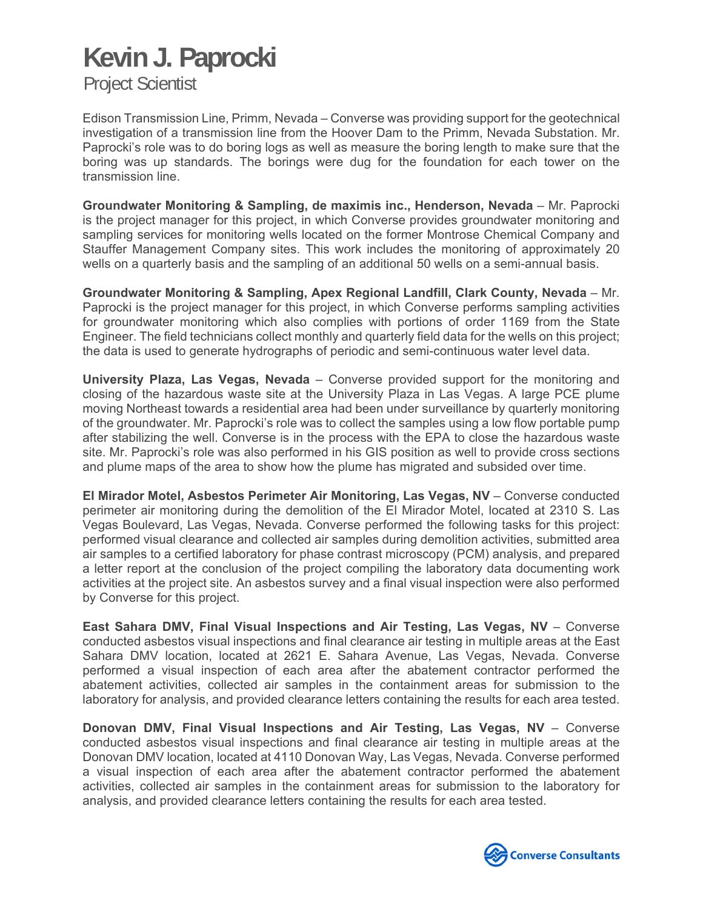Project Scientist

Edison Transmission Line, Primm, Nevada – Converse was providing support for the geotechnical investigation of a transmission line from the Hoover Dam to the Primm, Nevada Substation. Mr. Paprocki's role was to do boring logs as well as measure the boring length to make sure that the boring was up standards. The borings were dug for the foundation for each tower on the transmission line.

**Groundwater Monitoring & Sampling, de maximis inc., Henderson, Nevada** – Mr. Paprocki is the project manager for this project, in which Converse provides groundwater monitoring and sampling services for monitoring wells located on the former Montrose Chemical Company and Stauffer Management Company sites. This work includes the monitoring of approximately 20 wells on a quarterly basis and the sampling of an additional 50 wells on a semi-annual basis.

**Groundwater Monitoring & Sampling, Apex Regional Landfill, Clark County, Nevada** – Mr. Paprocki is the project manager for this project, in which Converse performs sampling activities for groundwater monitoring which also complies with portions of order 1169 from the State Engineer. The field technicians collect monthly and quarterly field data for the wells on this project; the data is used to generate hydrographs of periodic and semi-continuous water level data.

**University Plaza, Las Vegas, Nevada** – Converse provided support for the monitoring and closing of the hazardous waste site at the University Plaza in Las Vegas. A large PCE plume moving Northeast towards a residential area had been under surveillance by quarterly monitoring of the groundwater. Mr. Paprocki's role was to collect the samples using a low flow portable pump after stabilizing the well. Converse is in the process with the EPA to close the hazardous waste site. Mr. Paprocki's role was also performed in his GIS position as well to provide cross sections and plume maps of the area to show how the plume has migrated and subsided over time.

**El Mirador Motel, Asbestos Perimeter Air Monitoring, Las Vegas, NV** – Converse conducted perimeter air monitoring during the demolition of the El Mirador Motel, located at 2310 S. Las Vegas Boulevard, Las Vegas, Nevada. Converse performed the following tasks for this project: performed visual clearance and collected air samples during demolition activities, submitted area air samples to a certified laboratory for phase contrast microscopy (PCM) analysis, and prepared a letter report at the conclusion of the project compiling the laboratory data documenting work activities at the project site. An asbestos survey and a final visual inspection were also performed by Converse for this project.

**East Sahara DMV, Final Visual Inspections and Air Testing, Las Vegas, NV** – Converse conducted asbestos visual inspections and final clearance air testing in multiple areas at the East Sahara DMV location, located at 2621 E. Sahara Avenue, Las Vegas, Nevada. Converse performed a visual inspection of each area after the abatement contractor performed the abatement activities, collected air samples in the containment areas for submission to the laboratory for analysis, and provided clearance letters containing the results for each area tested.

**Donovan DMV, Final Visual Inspections and Air Testing, Las Vegas, NV** – Converse conducted asbestos visual inspections and final clearance air testing in multiple areas at the Donovan DMV location, located at 4110 Donovan Way, Las Vegas, Nevada. Converse performed a visual inspection of each area after the abatement contractor performed the abatement activities, collected air samples in the containment areas for submission to the laboratory for analysis, and provided clearance letters containing the results for each area tested.

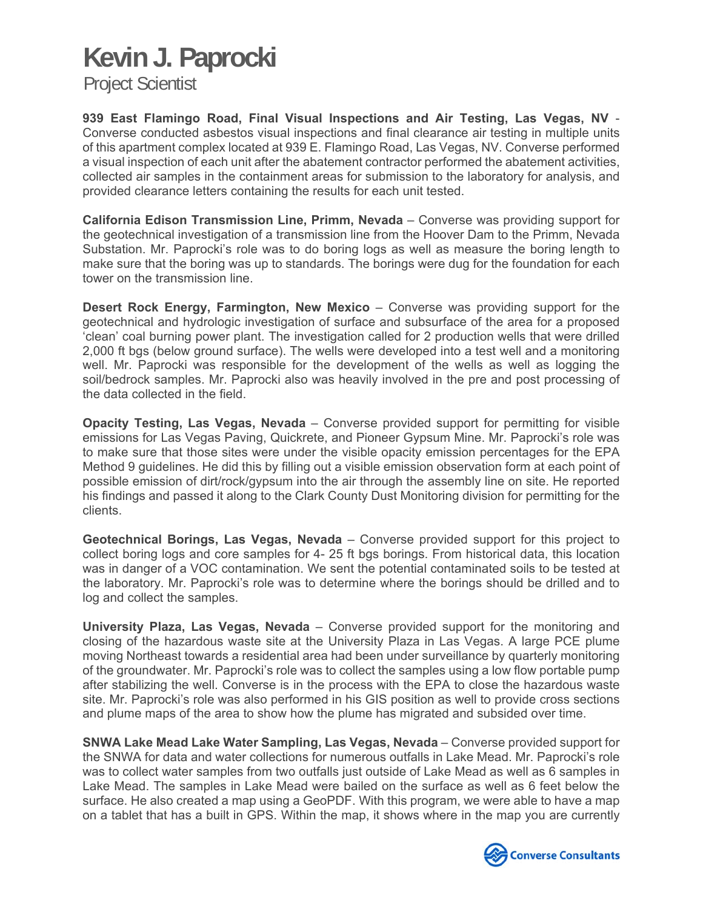Project Scientist

**939 East Flamingo Road, Final Visual Inspections and Air Testing, Las Vegas, NV** - Converse conducted asbestos visual inspections and final clearance air testing in multiple units of this apartment complex located at 939 E. Flamingo Road, Las Vegas, NV. Converse performed a visual inspection of each unit after the abatement contractor performed the abatement activities, collected air samples in the containment areas for submission to the laboratory for analysis, and provided clearance letters containing the results for each unit tested.

**California Edison Transmission Line, Primm, Nevada** – Converse was providing support for the geotechnical investigation of a transmission line from the Hoover Dam to the Primm, Nevada Substation. Mr. Paprocki's role was to do boring logs as well as measure the boring length to make sure that the boring was up to standards. The borings were dug for the foundation for each tower on the transmission line.

**Desert Rock Energy, Farmington, New Mexico** – Converse was providing support for the geotechnical and hydrologic investigation of surface and subsurface of the area for a proposed 'clean' coal burning power plant. The investigation called for 2 production wells that were drilled 2,000 ft bgs (below ground surface). The wells were developed into a test well and a monitoring well. Mr. Paprocki was responsible for the development of the wells as well as logging the soil/bedrock samples. Mr. Paprocki also was heavily involved in the pre and post processing of the data collected in the field.

**Opacity Testing, Las Vegas, Nevada** – Converse provided support for permitting for visible emissions for Las Vegas Paving, Quickrete, and Pioneer Gypsum Mine. Mr. Paprocki's role was to make sure that those sites were under the visible opacity emission percentages for the EPA Method 9 guidelines. He did this by filling out a visible emission observation form at each point of possible emission of dirt/rock/gypsum into the air through the assembly line on site. He reported his findings and passed it along to the Clark County Dust Monitoring division for permitting for the clients.

**Geotechnical Borings, Las Vegas, Nevada** – Converse provided support for this project to collect boring logs and core samples for 4- 25 ft bgs borings. From historical data, this location was in danger of a VOC contamination. We sent the potential contaminated soils to be tested at the laboratory. Mr. Paprocki's role was to determine where the borings should be drilled and to log and collect the samples.

**University Plaza, Las Vegas, Nevada** – Converse provided support for the monitoring and closing of the hazardous waste site at the University Plaza in Las Vegas. A large PCE plume moving Northeast towards a residential area had been under surveillance by quarterly monitoring of the groundwater. Mr. Paprocki's role was to collect the samples using a low flow portable pump after stabilizing the well. Converse is in the process with the EPA to close the hazardous waste site. Mr. Paprocki's role was also performed in his GIS position as well to provide cross sections and plume maps of the area to show how the plume has migrated and subsided over time.

**SNWA Lake Mead Lake Water Sampling, Las Vegas, Nevada** – Converse provided support for the SNWA for data and water collections for numerous outfalls in Lake Mead. Mr. Paprocki's role was to collect water samples from two outfalls just outside of Lake Mead as well as 6 samples in Lake Mead. The samples in Lake Mead were bailed on the surface as well as 6 feet below the surface. He also created a map using a GeoPDF. With this program, we were able to have a map on a tablet that has a built in GPS. Within the map, it shows where in the map you are currently